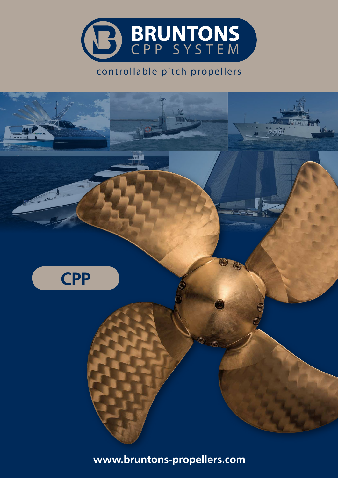

## controllable pitch propellers

**And (** 



**www.bruntons-propellers.com**